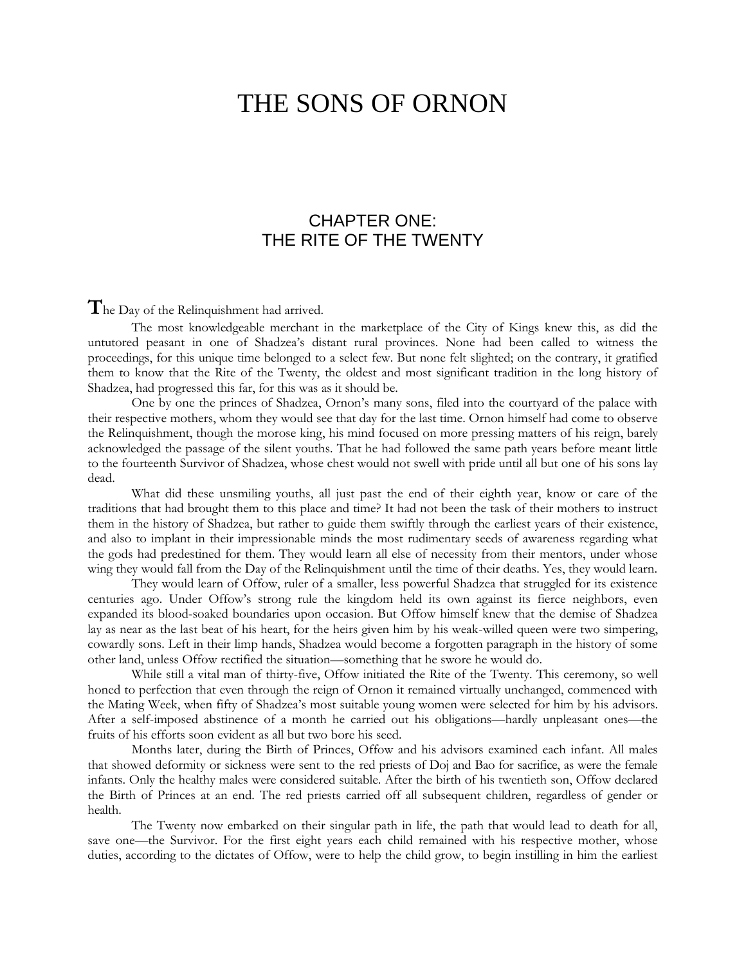## THE SONS OF ORNON

## CHAPTER ONE: THE RITE OF THE TWENTY

The Day of the Relinquishment had arrived.

The most knowledgeable merchant in the marketplace of the City of Kings knew this, as did the untutored peasant in one of Shadzea's distant rural provinces. None had been called to witness the proceedings, for this unique time belonged to a select few. But none felt slighted; on the contrary, it gratified them to know that the Rite of the Twenty, the oldest and most significant tradition in the long history of Shadzea, had progressed this far, for this was as it should be.

One by one the princes of Shadzea, Ornon's many sons, filed into the courtyard of the palace with their respective mothers, whom they would see that day for the last time. Ornon himself had come to observe the Relinquishment, though the morose king, his mind focused on more pressing matters of his reign, barely acknowledged the passage of the silent youths. That he had followed the same path years before meant little to the fourteenth Survivor of Shadzea, whose chest would not swell with pride until all but one of his sons lay dead.

What did these unsmiling youths, all just past the end of their eighth year, know or care of the traditions that had brought them to this place and time? It had not been the task of their mothers to instruct them in the history of Shadzea, but rather to guide them swiftly through the earliest years of their existence, and also to implant in their impressionable minds the most rudimentary seeds of awareness regarding what the gods had predestined for them. They would learn all else of necessity from their mentors, under whose wing they would fall from the Day of the Relinquishment until the time of their deaths. Yes, they would learn.

They would learn of Offow, ruler of a smaller, less powerful Shadzea that struggled for its existence centuries ago. Under Offow's strong rule the kingdom held its own against its fierce neighbors, even expanded its blood-soaked boundaries upon occasion. But Offow himself knew that the demise of Shadzea lay as near as the last beat of his heart, for the heirs given him by his weak-willed queen were two simpering, cowardly sons. Left in their limp hands, Shadzea would become a forgotten paragraph in the history of some other land, unless Offow rectified the situation—something that he swore he would do.

While still a vital man of thirty-five, Offow initiated the Rite of the Twenty. This ceremony, so well honed to perfection that even through the reign of Ornon it remained virtually unchanged, commenced with the Mating Week, when fifty of Shadzea's most suitable young women were selected for him by his advisors. After a self-imposed abstinence of a month he carried out his obligations—hardly unpleasant ones—the fruits of his efforts soon evident as all but two bore his seed.

Months later, during the Birth of Princes, Offow and his advisors examined each infant. All males that showed deformity or sickness were sent to the red priests of Doj and Bao for sacrifice, as were the female infants. Only the healthy males were considered suitable. After the birth of his twentieth son, Offow declared the Birth of Princes at an end. The red priests carried off all subsequent children, regardless of gender or health.

The Twenty now embarked on their singular path in life, the path that would lead to death for all, save one—the Survivor. For the first eight years each child remained with his respective mother, whose duties, according to the dictates of Offow, were to help the child grow, to begin instilling in him the earliest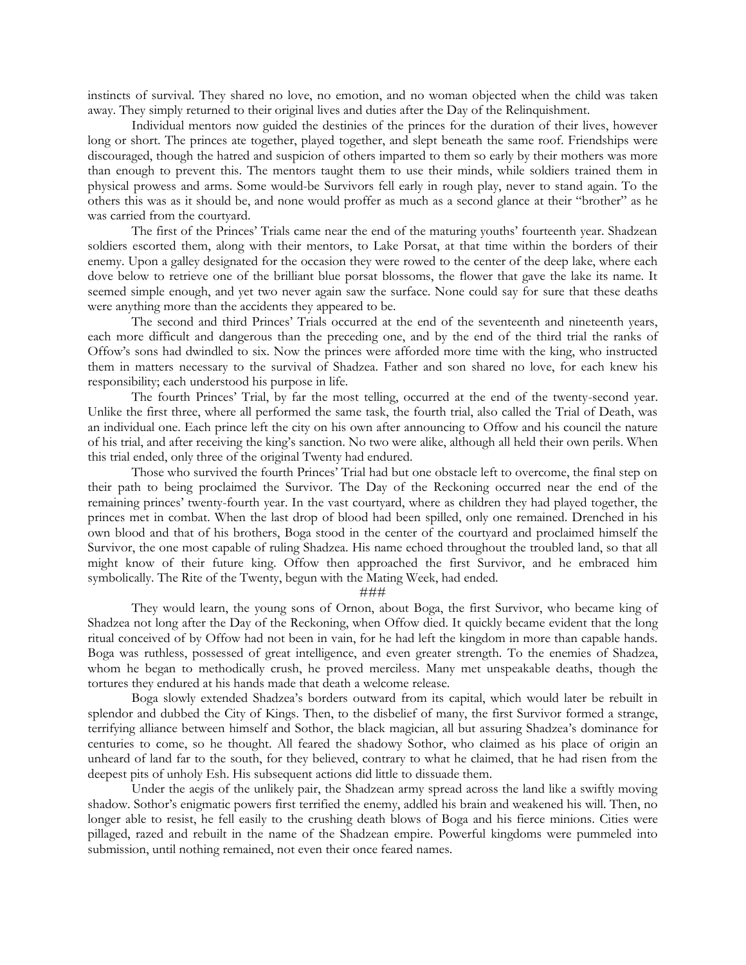instincts of survival. They shared no love, no emotion, and no woman objected when the child was taken away. They simply returned to their original lives and duties after the Day of the Relinquishment.

Individual mentors now guided the destinies of the princes for the duration of their lives, however long or short. The princes ate together, played together, and slept beneath the same roof. Friendships were discouraged, though the hatred and suspicion of others imparted to them so early by their mothers was more than enough to prevent this. The mentors taught them to use their minds, while soldiers trained them in physical prowess and arms. Some would-be Survivors fell early in rough play, never to stand again. To the others this was as it should be, and none would proffer as much as a second glance at their "brother" as he was carried from the courtyard.

The first of the Princes' Trials came near the end of the maturing youths' fourteenth year. Shadzean soldiers escorted them, along with their mentors, to Lake Porsat, at that time within the borders of their enemy. Upon a galley designated for the occasion they were rowed to the center of the deep lake, where each dove below to retrieve one of the brilliant blue porsat blossoms, the flower that gave the lake its name. It seemed simple enough, and yet two never again saw the surface. None could say for sure that these deaths were anything more than the accidents they appeared to be.

The second and third Princes' Trials occurred at the end of the seventeenth and nineteenth years, each more difficult and dangerous than the preceding one, and by the end of the third trial the ranks of Offow's sons had dwindled to six. Now the princes were afforded more time with the king, who instructed them in matters necessary to the survival of Shadzea. Father and son shared no love, for each knew his responsibility; each understood his purpose in life.

The fourth Princes' Trial, by far the most telling, occurred at the end of the twenty-second year. Unlike the first three, where all performed the same task, the fourth trial, also called the Trial of Death, was an individual one. Each prince left the city on his own after announcing to Offow and his council the nature of his trial, and after receiving the king's sanction. No two were alike, although all held their own perils. When this trial ended, only three of the original Twenty had endured.

Those who survived the fourth Princes' Trial had but one obstacle left to overcome, the final step on their path to being proclaimed the Survivor. The Day of the Reckoning occurred near the end of the remaining princes' twenty-fourth year. In the vast courtyard, where as children they had played together, the princes met in combat. When the last drop of blood had been spilled, only one remained. Drenched in his own blood and that of his brothers, Boga stood in the center of the courtyard and proclaimed himself the Survivor, the one most capable of ruling Shadzea. His name echoed throughout the troubled land, so that all might know of their future king. Offow then approached the first Survivor, and he embraced him symbolically. The Rite of the Twenty, begun with the Mating Week, had ended.

###

They would learn, the young sons of Ornon, about Boga, the first Survivor, who became king of Shadzea not long after the Day of the Reckoning, when Offow died. It quickly became evident that the long ritual conceived of by Offow had not been in vain, for he had left the kingdom in more than capable hands. Boga was ruthless, possessed of great intelligence, and even greater strength. To the enemies of Shadzea, whom he began to methodically crush, he proved merciless. Many met unspeakable deaths, though the tortures they endured at his hands made that death a welcome release.

Boga slowly extended Shadzea's borders outward from its capital, which would later be rebuilt in splendor and dubbed the City of Kings. Then, to the disbelief of many, the first Survivor formed a strange, terrifying alliance between himself and Sothor, the black magician, all but assuring Shadzea's dominance for centuries to come, so he thought. All feared the shadowy Sothor, who claimed as his place of origin an unheard of land far to the south, for they believed, contrary to what he claimed, that he had risen from the deepest pits of unholy Esh. His subsequent actions did little to dissuade them.

Under the aegis of the unlikely pair, the Shadzean army spread across the land like a swiftly moving shadow. Sothor's enigmatic powers first terrified the enemy, addled his brain and weakened his will. Then, no longer able to resist, he fell easily to the crushing death blows of Boga and his fierce minions. Cities were pillaged, razed and rebuilt in the name of the Shadzean empire. Powerful kingdoms were pummeled into submission, until nothing remained, not even their once feared names.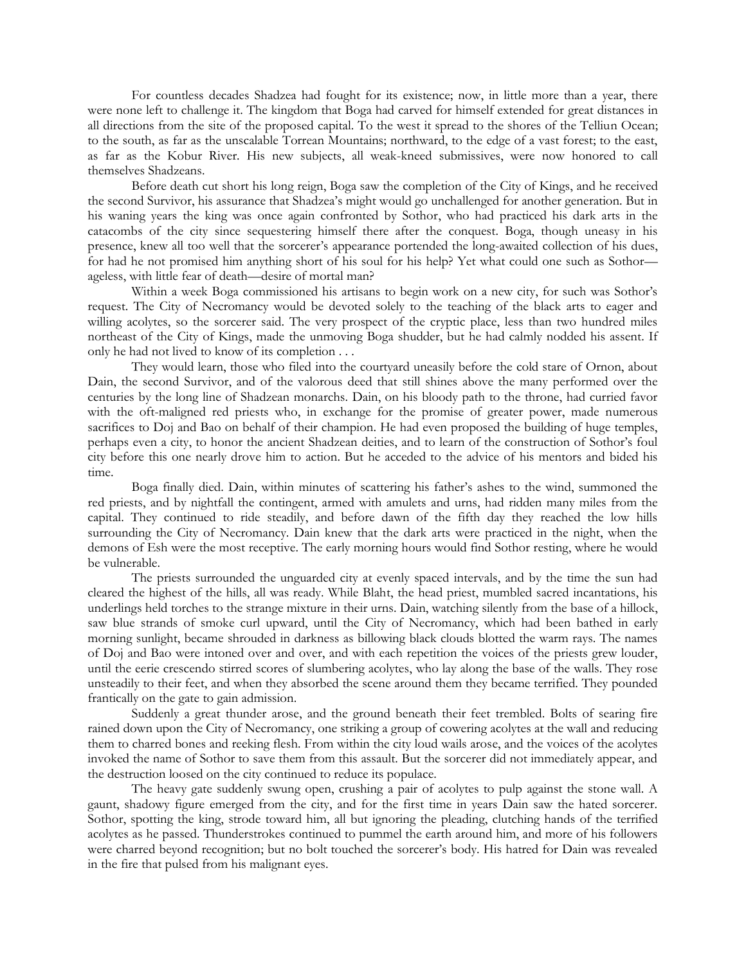For countless decades Shadzea had fought for its existence; now, in little more than a year, there were none left to challenge it. The kingdom that Boga had carved for himself extended for great distances in all directions from the site of the proposed capital. To the west it spread to the shores of the Telliun Ocean; to the south, as far as the unscalable Torrean Mountains; northward, to the edge of a vast forest; to the east, as far as the Kobur River. His new subjects, all weak-kneed submissives, were now honored to call themselves Shadzeans.

Before death cut short his long reign, Boga saw the completion of the City of Kings, and he received the second Survivor, his assurance that Shadzea's might would go unchallenged for another generation. But in his waning years the king was once again confronted by Sothor, who had practiced his dark arts in the catacombs of the city since sequestering himself there after the conquest. Boga, though uneasy in his presence, knew all too well that the sorcerer's appearance portended the long-awaited collection of his dues, for had he not promised him anything short of his soul for his help? Yet what could one such as Sothor ageless, with little fear of death—desire of mortal man?

Within a week Boga commissioned his artisans to begin work on a new city, for such was Sothor's request. The City of Necromancy would be devoted solely to the teaching of the black arts to eager and willing acolytes, so the sorcerer said. The very prospect of the cryptic place, less than two hundred miles northeast of the City of Kings, made the unmoving Boga shudder, but he had calmly nodded his assent. If only he had not lived to know of its completion . . .

They would learn, those who filed into the courtyard uneasily before the cold stare of Ornon, about Dain, the second Survivor, and of the valorous deed that still shines above the many performed over the centuries by the long line of Shadzean monarchs. Dain, on his bloody path to the throne, had curried favor with the oft-maligned red priests who, in exchange for the promise of greater power, made numerous sacrifices to Doj and Bao on behalf of their champion. He had even proposed the building of huge temples, perhaps even a city, to honor the ancient Shadzean deities, and to learn of the construction of Sothor's foul city before this one nearly drove him to action. But he acceded to the advice of his mentors and bided his time.

Boga finally died. Dain, within minutes of scattering his father's ashes to the wind, summoned the red priests, and by nightfall the contingent, armed with amulets and urns, had ridden many miles from the capital. They continued to ride steadily, and before dawn of the fifth day they reached the low hills surrounding the City of Necromancy. Dain knew that the dark arts were practiced in the night, when the demons of Esh were the most receptive. The early morning hours would find Sothor resting, where he would be vulnerable.

The priests surrounded the unguarded city at evenly spaced intervals, and by the time the sun had cleared the highest of the hills, all was ready. While Blaht, the head priest, mumbled sacred incantations, his underlings held torches to the strange mixture in their urns. Dain, watching silently from the base of a hillock, saw blue strands of smoke curl upward, until the City of Necromancy, which had been bathed in early morning sunlight, became shrouded in darkness as billowing black clouds blotted the warm rays. The names of Doj and Bao were intoned over and over, and with each repetition the voices of the priests grew louder, until the eerie crescendo stirred scores of slumbering acolytes, who lay along the base of the walls. They rose unsteadily to their feet, and when they absorbed the scene around them they became terrified. They pounded frantically on the gate to gain admission.

Suddenly a great thunder arose, and the ground beneath their feet trembled. Bolts of searing fire rained down upon the City of Necromancy, one striking a group of cowering acolytes at the wall and reducing them to charred bones and reeking flesh. From within the city loud wails arose, and the voices of the acolytes invoked the name of Sothor to save them from this assault. But the sorcerer did not immediately appear, and the destruction loosed on the city continued to reduce its populace.

The heavy gate suddenly swung open, crushing a pair of acolytes to pulp against the stone wall. A gaunt, shadowy figure emerged from the city, and for the first time in years Dain saw the hated sorcerer. Sothor, spotting the king, strode toward him, all but ignoring the pleading, clutching hands of the terrified acolytes as he passed. Thunderstrokes continued to pummel the earth around him, and more of his followers were charred beyond recognition; but no bolt touched the sorcerer's body. His hatred for Dain was revealed in the fire that pulsed from his malignant eyes.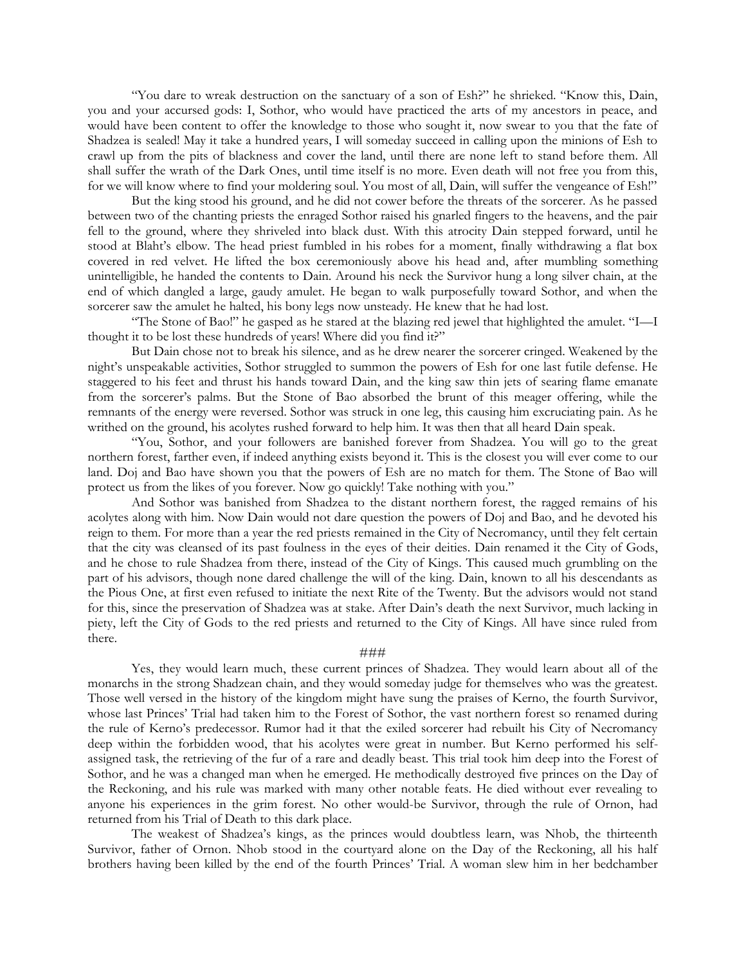"You dare to wreak destruction on the sanctuary of a son of Esh?" he shrieked. "Know this, Dain, you and your accursed gods: I, Sothor, who would have practiced the arts of my ancestors in peace, and would have been content to offer the knowledge to those who sought it, now swear to you that the fate of Shadzea is sealed! May it take a hundred years, I will someday succeed in calling upon the minions of Esh to crawl up from the pits of blackness and cover the land, until there are none left to stand before them. All shall suffer the wrath of the Dark Ones, until time itself is no more. Even death will not free you from this, for we will know where to find your moldering soul. You most of all, Dain, will suffer the vengeance of Esh!"

But the king stood his ground, and he did not cower before the threats of the sorcerer. As he passed between two of the chanting priests the enraged Sothor raised his gnarled fingers to the heavens, and the pair fell to the ground, where they shriveled into black dust. With this atrocity Dain stepped forward, until he stood at Blaht's elbow. The head priest fumbled in his robes for a moment, finally withdrawing a flat box covered in red velvet. He lifted the box ceremoniously above his head and, after mumbling something unintelligible, he handed the contents to Dain. Around his neck the Survivor hung a long silver chain, at the end of which dangled a large, gaudy amulet. He began to walk purposefully toward Sothor, and when the sorcerer saw the amulet he halted, his bony legs now unsteady. He knew that he had lost.

"The Stone of Bao!" he gasped as he stared at the blazing red jewel that highlighted the amulet. "I—I thought it to be lost these hundreds of years! Where did you find it?"

But Dain chose not to break his silence, and as he drew nearer the sorcerer cringed. Weakened by the night's unspeakable activities, Sothor struggled to summon the powers of Esh for one last futile defense. He staggered to his feet and thrust his hands toward Dain, and the king saw thin jets of searing flame emanate from the sorcerer's palms. But the Stone of Bao absorbed the brunt of this meager offering, while the remnants of the energy were reversed. Sothor was struck in one leg, this causing him excruciating pain. As he writhed on the ground, his acolytes rushed forward to help him. It was then that all heard Dain speak.

"You, Sothor, and your followers are banished forever from Shadzea. You will go to the great northern forest, farther even, if indeed anything exists beyond it. This is the closest you will ever come to our land. Doj and Bao have shown you that the powers of Esh are no match for them. The Stone of Bao will protect us from the likes of you forever. Now go quickly! Take nothing with you."

And Sothor was banished from Shadzea to the distant northern forest, the ragged remains of his acolytes along with him. Now Dain would not dare question the powers of Doj and Bao, and he devoted his reign to them. For more than a year the red priests remained in the City of Necromancy, until they felt certain that the city was cleansed of its past foulness in the eyes of their deities. Dain renamed it the City of Gods, and he chose to rule Shadzea from there, instead of the City of Kings. This caused much grumbling on the part of his advisors, though none dared challenge the will of the king. Dain, known to all his descendants as the Pious One, at first even refused to initiate the next Rite of the Twenty. But the advisors would not stand for this, since the preservation of Shadzea was at stake. After Dain's death the next Survivor, much lacking in piety, left the City of Gods to the red priests and returned to the City of Kings. All have since ruled from there.

## ###

Yes, they would learn much, these current princes of Shadzea. They would learn about all of the monarchs in the strong Shadzean chain, and they would someday judge for themselves who was the greatest. Those well versed in the history of the kingdom might have sung the praises of Kerno, the fourth Survivor, whose last Princes' Trial had taken him to the Forest of Sothor, the vast northern forest so renamed during the rule of Kerno's predecessor. Rumor had it that the exiled sorcerer had rebuilt his City of Necromancy deep within the forbidden wood, that his acolytes were great in number. But Kerno performed his selfassigned task, the retrieving of the fur of a rare and deadly beast. This trial took him deep into the Forest of Sothor, and he was a changed man when he emerged. He methodically destroyed five princes on the Day of the Reckoning, and his rule was marked with many other notable feats. He died without ever revealing to anyone his experiences in the grim forest. No other would-be Survivor, through the rule of Ornon, had returned from his Trial of Death to this dark place.

The weakest of Shadzea's kings, as the princes would doubtless learn, was Nhob, the thirteenth Survivor, father of Ornon. Nhob stood in the courtyard alone on the Day of the Reckoning, all his half brothers having been killed by the end of the fourth Princes' Trial. A woman slew him in her bedchamber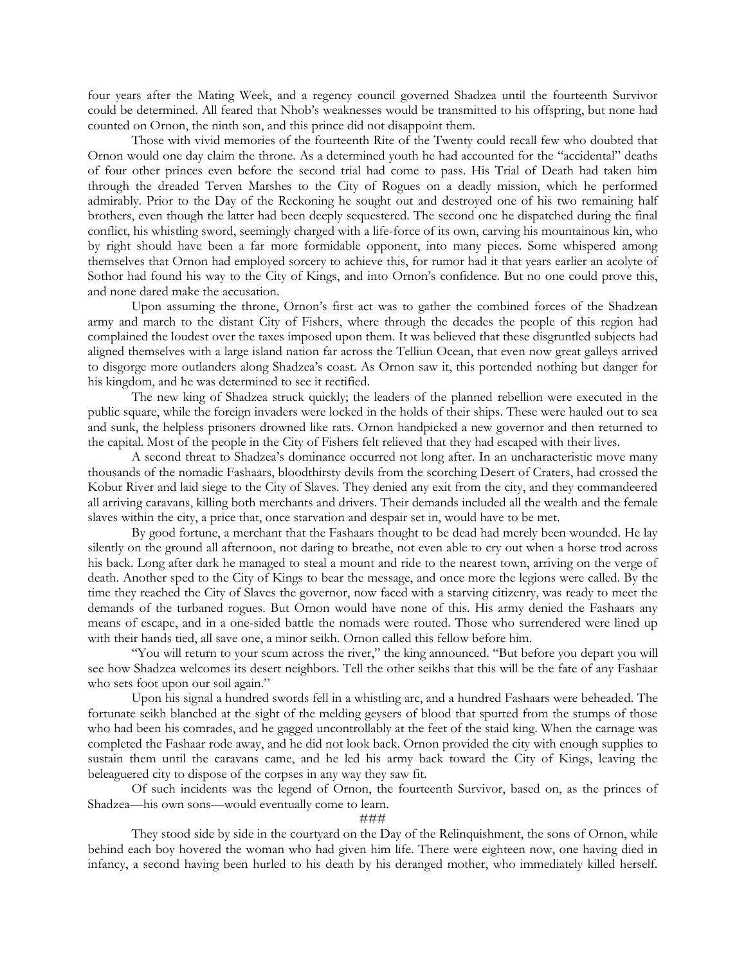four years after the Mating Week, and a regency council governed Shadzea until the fourteenth Survivor could be determined. All feared that Nhob's weaknesses would be transmitted to his offspring, but none had counted on Ornon, the ninth son, and this prince did not disappoint them.

Those with vivid memories of the fourteenth Rite of the Twenty could recall few who doubted that Ornon would one day claim the throne. As a determined youth he had accounted for the "accidental" deaths of four other princes even before the second trial had come to pass. His Trial of Death had taken him through the dreaded Terven Marshes to the City of Rogues on a deadly mission, which he performed admirably. Prior to the Day of the Reckoning he sought out and destroyed one of his two remaining half brothers, even though the latter had been deeply sequestered. The second one he dispatched during the final conflict, his whistling sword, seemingly charged with a life-force of its own, carving his mountainous kin, who by right should have been a far more formidable opponent, into many pieces. Some whispered among themselves that Ornon had employed sorcery to achieve this, for rumor had it that years earlier an acolyte of Sothor had found his way to the City of Kings, and into Ornon's confidence. But no one could prove this, and none dared make the accusation.

Upon assuming the throne, Ornon's first act was to gather the combined forces of the Shadzean army and march to the distant City of Fishers, where through the decades the people of this region had complained the loudest over the taxes imposed upon them. It was believed that these disgruntled subjects had aligned themselves with a large island nation far across the Telliun Ocean, that even now great galleys arrived to disgorge more outlanders along Shadzea's coast. As Ornon saw it, this portended nothing but danger for his kingdom, and he was determined to see it rectified.

The new king of Shadzea struck quickly; the leaders of the planned rebellion were executed in the public square, while the foreign invaders were locked in the holds of their ships. These were hauled out to sea and sunk, the helpless prisoners drowned like rats. Ornon handpicked a new governor and then returned to the capital. Most of the people in the City of Fishers felt relieved that they had escaped with their lives.

A second threat to Shadzea's dominance occurred not long after. In an uncharacteristic move many thousands of the nomadic Fashaars, bloodthirsty devils from the scorching Desert of Craters, had crossed the Kobur River and laid siege to the City of Slaves. They denied any exit from the city, and they commandeered all arriving caravans, killing both merchants and drivers. Their demands included all the wealth and the female slaves within the city, a price that, once starvation and despair set in, would have to be met.

By good fortune, a merchant that the Fashaars thought to be dead had merely been wounded. He lay silently on the ground all afternoon, not daring to breathe, not even able to cry out when a horse trod across his back. Long after dark he managed to steal a mount and ride to the nearest town, arriving on the verge of death. Another sped to the City of Kings to bear the message, and once more the legions were called. By the time they reached the City of Slaves the governor, now faced with a starving citizenry, was ready to meet the demands of the turbaned rogues. But Ornon would have none of this. His army denied the Fashaars any means of escape, and in a one-sided battle the nomads were routed. Those who surrendered were lined up with their hands tied, all save one, a minor seikh. Ornon called this fellow before him.

"You will return to your scum across the river," the king announced. "But before you depart you will see how Shadzea welcomes its desert neighbors. Tell the other seikhs that this will be the fate of any Fashaar who sets foot upon our soil again."

Upon his signal a hundred swords fell in a whistling arc, and a hundred Fashaars were beheaded. The fortunate seikh blanched at the sight of the melding geysers of blood that spurted from the stumps of those who had been his comrades, and he gagged uncontrollably at the feet of the staid king. When the carnage was completed the Fashaar rode away, and he did not look back. Ornon provided the city with enough supplies to sustain them until the caravans came, and he led his army back toward the City of Kings, leaving the beleaguered city to dispose of the corpses in any way they saw fit.

Of such incidents was the legend of Ornon, the fourteenth Survivor, based on, as the princes of Shadzea—his own sons—would eventually come to learn.

###

They stood side by side in the courtyard on the Day of the Relinquishment, the sons of Ornon, while behind each boy hovered the woman who had given him life. There were eighteen now, one having died in infancy, a second having been hurled to his death by his deranged mother, who immediately killed herself.